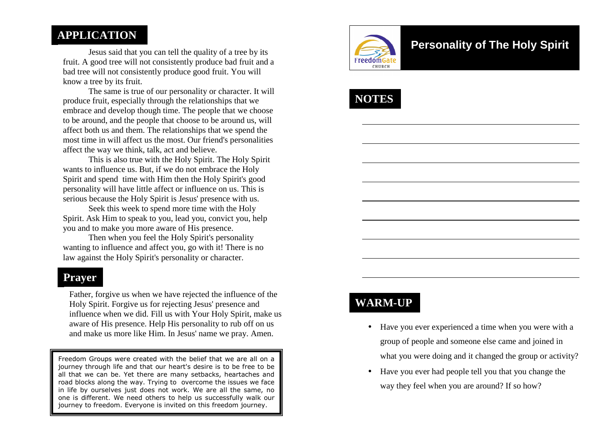### **APPLICATION**

 Jesus said that you can tell the quality of a tree by its fruit. A good tree will not consistently produce bad fruit and a bad tree will not consistently produce good fruit. You will know a tree by its fruit.

 The same is true of our personality or character. It will produce fruit, especially through the relationships that we embrace and develop though time. The people that we choose to be around, and the people that choose to be around us, will affect both us and them. The relationships that we spend the most time in will affect us the most. Our friend's personalities affect the way we think, talk, act and believe.

 This is also true with the Holy Spirit. The Holy Spirit wants to influence us. But, if we do not embrace the Holy Spirit and spend time with Him then the Holy Spirit's good personality will have little affect or influence on us. This is serious because the Holy Spirit is Jesus' presence with us.

 Seek this week to spend more time with the Holy Spirit. Ask Him to speak to you, lead you, convict you, help you and to make you more aware of His presence.

 Then when you feel the Holy Spirit's personality wanting to influence and affect you, go with it! There is no law against the Holy Spirit's personality or character.

#### **Prayer**

Father, forgive us when we have rejected the influence of the Holy Spirit. Forgive us for rejecting Jesus' presence and influence when we did. Fill us with Your Holy Spirit, make us aware of His presence. Help His personality to rub off on us and make us more like Him. In Jesus' name we pray. Amen.

Freedom Groups were created with the belief that we are all on a journey through life and that our heart's desire is to be free to be all that we can be. Yet there are many setbacks, heartaches and road blocks along the way. Trying to overcome the issues we face in life by ourselves just does not work. We are all the same, no one is different. We need others to help us successfully walk our journey to freedom. Everyone is invited on this freedom journey.



## **Personality of The Holy Spirit**



### **WARM-UP**

- Have you ever experienced a time when you were with a group of people and someone else came and joined inwhat you were doing and it changed the group or activity?
- Have you ever had people tell you that you change the way they feel when you are around? If so how?